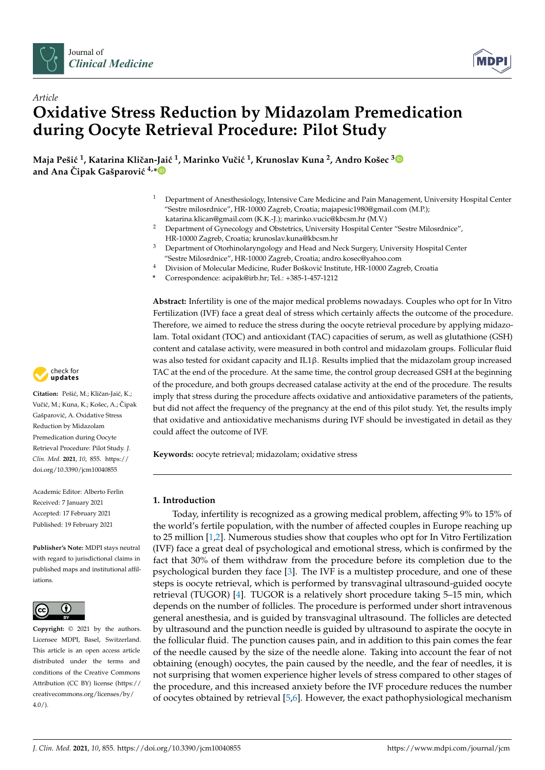



# *Article* **Oxidative Stress Reduction by Midazolam Premedication during Oocyte Retrieval Procedure: Pilot Study**

**Maja Peši´c <sup>1</sup> , Katarina Kliˇcan-Jai´c <sup>1</sup> , Marinko Vuˇci´c <sup>1</sup> , Krunoslav Kuna <sup>2</sup> , Andro Košec [3](https://orcid.org/0000-0001-7864-2060) and Ana Cipak Gašparović**  $4, *$  $4, *$ 

- <sup>1</sup> Department of Anesthesiology, Intensive Care Medicine and Pain Management, University Hospital Center "Sestre milosrdnice", HR-10000 Zagreb, Croatia; majapesic1980@gmail.com (M.P.); katarina.klican@gmail.com (K.K.-J.); marinko.vucic@kbcsm.hr (M.V.)
- <sup>2</sup> Department of Gynecology and Obstetrics, University Hospital Center "Sestre Milosrdnice", HR-10000 Zagreb, Croatia; krunoslav.kuna@kbcsm.hr
- <sup>3</sup> Department of Otorhinolaryngology and Head and Neck Surgery, University Hospital Center "Sestre Milosrdnice", HR-10000 Zagreb, Croatia; andro.kosec@yahoo.com
- <sup>4</sup> Division of Molecular Medicine, Ruđer Bošković Institute, HR-10000 Zagreb, Croatia
- **\*** Correspondence: acipak@irb.hr; Tel.: +385-1-457-1212

**Abstract:** Infertility is one of the major medical problems nowadays. Couples who opt for In Vitro Fertilization (IVF) face a great deal of stress which certainly affects the outcome of the procedure. Therefore, we aimed to reduce the stress during the oocyte retrieval procedure by applying midazolam. Total oxidant (TOC) and antioxidant (TAC) capacities of serum, as well as glutathione (GSH) content and catalase activity, were measured in both control and midazolam groups. Follicular fluid was also tested for oxidant capacity and IL1β. Results implied that the midazolam group increased TAC at the end of the procedure. At the same time, the control group decreased GSH at the beginning of the procedure, and both groups decreased catalase activity at the end of the procedure. The results imply that stress during the procedure affects oxidative and antioxidative parameters of the patients, but did not affect the frequency of the pregnancy at the end of this pilot study. Yet, the results imply that oxidative and antioxidative mechanisms during IVF should be investigated in detail as they could affect the outcome of IVF.

**Keywords:** oocyte retrieval; midazolam; oxidative stress

# **1. Introduction**

Today, infertility is recognized as a growing medical problem, affecting 9% to 15% of the world's fertile population, with the number of affected couples in Europe reaching up to 25 million [\[1,](#page-6-0)[2\]](#page-6-1). Numerous studies show that couples who opt for In Vitro Fertilization (IVF) face a great deal of psychological and emotional stress, which is confirmed by the fact that 30% of them withdraw from the procedure before its completion due to the psychological burden they face [\[3\]](#page-6-2). The IVF is a multistep procedure, and one of these steps is oocyte retrieval, which is performed by transvaginal ultrasound-guided oocyte retrieval (TUGOR) [\[4\]](#page-6-3). TUGOR is a relatively short procedure taking 5–15 min, which depends on the number of follicles. The procedure is performed under short intravenous general anesthesia, and is guided by transvaginal ultrasound. The follicles are detected by ultrasound and the punction needle is guided by ultrasound to aspirate the oocyte in the follicular fluid. The punction causes pain, and in addition to this pain comes the fear of the needle caused by the size of the needle alone. Taking into account the fear of not obtaining (enough) oocytes, the pain caused by the needle, and the fear of needles, it is not surprising that women experience higher levels of stress compared to other stages of the procedure, and this increased anxiety before the IVF procedure reduces the number of oocytes obtained by retrieval [\[5](#page-6-4)[,6\]](#page-7-0). However, the exact pathophysiological mechanism



Citation: Pešić, M.; Kličan-Jaić, K.; Vučić, M.; Kuna, K.; Košec, A.; Čipak Gašparović, A. Oxidative Stress Reduction by Midazolam Premedication during Oocyte Retrieval Procedure: Pilot Study. *J. Clin. Med.* **2021**, *10*, 855. [https://](https://doi.org/10.3390/jcm10040855) [doi.org/10.3390/jcm10040855](https://doi.org/10.3390/jcm10040855)

Academic Editor: Alberto Ferlin Received: 7 January 2021 Accepted: 17 February 2021 Published: 19 February 2021

**Publisher's Note:** MDPI stays neutral with regard to jurisdictional claims in published maps and institutional affiliations.



**Copyright:** © 2021 by the authors. Licensee MDPI, Basel, Switzerland. This article is an open access article distributed under the terms and conditions of the Creative Commons Attribution (CC BY) license (https:/[/](https://creativecommons.org/licenses/by/4.0/) [creativecommons.org/licenses/by/](https://creativecommons.org/licenses/by/4.0/)  $4.0/$ ).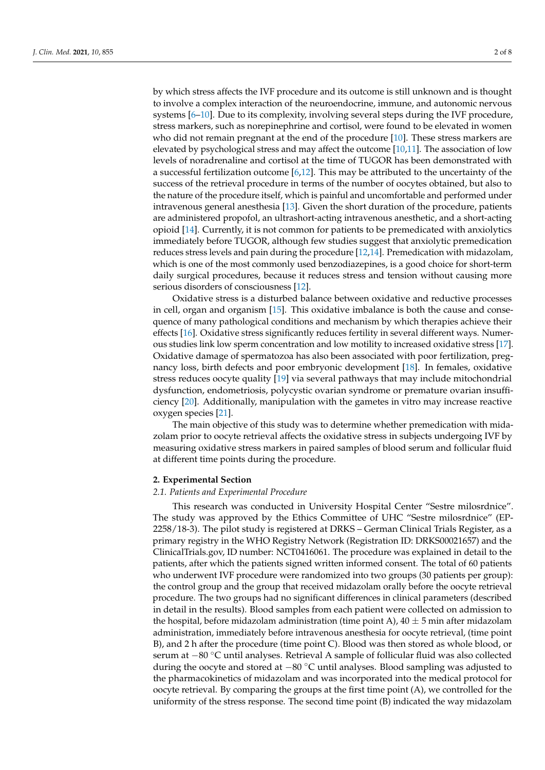by which stress affects the IVF procedure and its outcome is still unknown and is thought to involve a complex interaction of the neuroendocrine, immune, and autonomic nervous systems [\[6–](#page-7-0)[10\]](#page-7-1). Due to its complexity, involving several steps during the IVF procedure, stress markers, such as norepinephrine and cortisol, were found to be elevated in women who did not remain pregnant at the end of the procedure [\[10\]](#page-7-1). These stress markers are elevated by psychological stress and may affect the outcome [\[10](#page-7-1)[,11\]](#page-7-2). The association of low levels of noradrenaline and cortisol at the time of TUGOR has been demonstrated with a successful fertilization outcome  $[6,12]$  $[6,12]$ . This may be attributed to the uncertainty of the success of the retrieval procedure in terms of the number of oocytes obtained, but also to the nature of the procedure itself, which is painful and uncomfortable and performed under intravenous general anesthesia [\[13\]](#page-7-4). Given the short duration of the procedure, patients are administered propofol, an ultrashort-acting intravenous anesthetic, and a short-acting opioid [\[14\]](#page-7-5). Currently, it is not common for patients to be premedicated with anxiolytics immediately before TUGOR, although few studies suggest that anxiolytic premedication reduces stress levels and pain during the procedure [\[12,](#page-7-3)[14\]](#page-7-5). Premedication with midazolam, which is one of the most commonly used benzodiazepines, is a good choice for short-term daily surgical procedures, because it reduces stress and tension without causing more serious disorders of consciousness [\[12\]](#page-7-3).

Oxidative stress is a disturbed balance between oxidative and reductive processes in cell, organ and organism [\[15\]](#page-7-6). This oxidative imbalance is both the cause and consequence of many pathological conditions and mechanism by which therapies achieve their effects [\[16\]](#page-7-7). Oxidative stress significantly reduces fertility in several different ways. Numerous studies link low sperm concentration and low motility to increased oxidative stress [\[17\]](#page-7-8). Oxidative damage of spermatozoa has also been associated with poor fertilization, pregnancy loss, birth defects and poor embryonic development [\[18\]](#page-7-9). In females, oxidative stress reduces oocyte quality [\[19\]](#page-7-10) via several pathways that may include mitochondrial dysfunction, endometriosis, polycystic ovarian syndrome or premature ovarian insufficiency [\[20\]](#page-7-11). Additionally, manipulation with the gametes in vitro may increase reactive oxygen species [\[21\]](#page-7-12).

The main objective of this study was to determine whether premedication with midazolam prior to oocyte retrieval affects the oxidative stress in subjects undergoing IVF by measuring oxidative stress markers in paired samples of blood serum and follicular fluid at different time points during the procedure.

#### **2. Experimental Section**

#### *2.1. Patients and Experimental Procedure*

This research was conducted in University Hospital Center "Sestre milosrdnice". The study was approved by the Ethics Committee of UHC "Sestre milosrdnice" (EP-2258/18-3). The pilot study is registered at DRKS – German Clinical Trials Register, as a primary registry in the WHO Registry Network (Registration ID: DRKS00021657) and the ClinicalTrials.gov, ID number: NCT0416061. The procedure was explained in detail to the patients, after which the patients signed written informed consent. The total of 60 patients who underwent IVF procedure were randomized into two groups (30 patients per group): the control group and the group that received midazolam orally before the oocyte retrieval procedure. The two groups had no significant differences in clinical parameters (described in detail in the results). Blood samples from each patient were collected on admission to the hospital, before midazolam administration (time point A),  $40 \pm 5$  min after midazolam administration, immediately before intravenous anesthesia for oocyte retrieval, (time point B), and 2 h after the procedure (time point C). Blood was then stored as whole blood, or serum at −80 ◦C until analyses. Retrieval A sample of follicular fluid was also collected during the oocyte and stored at −80 ◦C until analyses. Blood sampling was adjusted to the pharmacokinetics of midazolam and was incorporated into the medical protocol for oocyte retrieval. By comparing the groups at the first time point (A), we controlled for the uniformity of the stress response. The second time point (B) indicated the way midazolam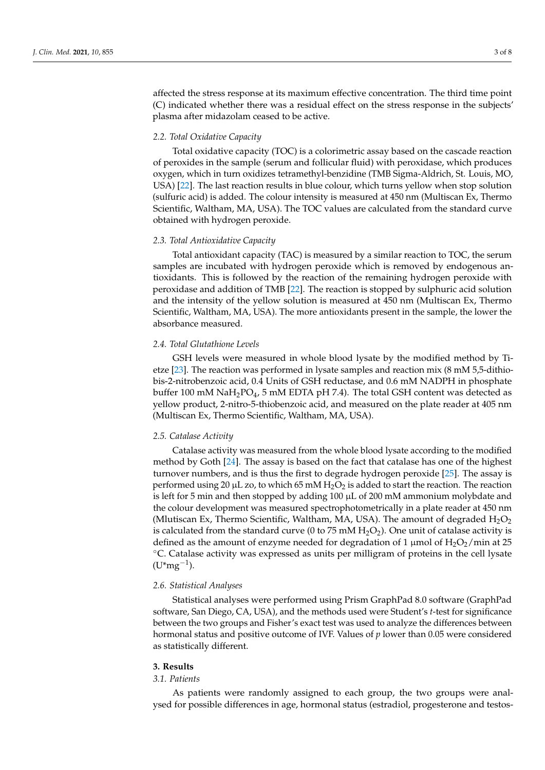affected the stress response at its maximum effective concentration. The third time point (C) indicated whether there was a residual effect on the stress response in the subjects' plasma after midazolam ceased to be active.

#### *2.2. Total Oxidative Capacity*

Total oxidative capacity (TOC) is a colorimetric assay based on the cascade reaction of peroxides in the sample (serum and follicular fluid) with peroxidase, which produces oxygen, which in turn oxidizes tetramethyl-benzidine (TMB Sigma-Aldrich, St. Louis, MO, USA) [\[22\]](#page-7-13). The last reaction results in blue colour, which turns yellow when stop solution (sulfuric acid) is added. The colour intensity is measured at 450 nm (Multiscan Ex, Thermo Scientific, Waltham, MA, USA). The TOC values are calculated from the standard curve obtained with hydrogen peroxide.

## *2.3. Total Antioxidative Capacity*

Total antioxidant capacity (TAC) is measured by a similar reaction to TOC, the serum samples are incubated with hydrogen peroxide which is removed by endogenous antioxidants. This is followed by the reaction of the remaining hydrogen peroxide with peroxidase and addition of TMB [\[22\]](#page-7-13). The reaction is stopped by sulphuric acid solution and the intensity of the yellow solution is measured at 450 nm (Multiscan Ex, Thermo Scientific, Waltham, MA, USA). The more antioxidants present in the sample, the lower the absorbance measured.

### *2.4. Total Glutathione Levels*

GSH levels were measured in whole blood lysate by the modified method by Tietze [\[23\]](#page-7-14). The reaction was performed in lysate samples and reaction mix (8 mM 5,5-dithiobis-2-nitrobenzoic acid, 0.4 Units of GSH reductase, and 0.6 mM NADPH in phosphate buffer 100 mM  $\text{NaH}_2\text{PO}_4$ , 5 mM EDTA pH 7.4). The total GSH content was detected as yellow product, 2-nitro-5-thiobenzoic acid, and measured on the plate reader at 405 nm (Multiscan Ex, Thermo Scientific, Waltham, MA, USA).

## *2.5. Catalase Activity*

Catalase activity was measured from the whole blood lysate according to the modified method by Goth [\[24\]](#page-7-15). The assay is based on the fact that catalase has one of the highest turnover numbers, and is thus the first to degrade hydrogen peroxide [\[25\]](#page-7-16). The assay is performed using 20  $\mu$ L zo, to which 65 mM  $H_2O_2$  is added to start the reaction. The reaction is left for 5 min and then stopped by adding 100 µL of 200 mM ammonium molybdate and the colour development was measured spectrophotometrically in a plate reader at 450 nm (Mlutiscan Ex, Thermo Scientific, Waltham, MA, USA). The amount of degraded  $H_2O_2$ is calculated from the standard curve (0 to 75 mM  $H_2O_2$ ). One unit of catalase activity is defined as the amount of enzyme needed for degradation of 1  $\mu$ mol of H<sub>2</sub>O<sub>2</sub>/min at 25 ◦C. Catalase activity was expressed as units per milligram of proteins in the cell lysate  $(U^*mg^{-1}).$ 

## *2.6. Statistical Analyses*

Statistical analyses were performed using Prism GraphPad 8.0 software (GraphPad software, San Diego, CA, USA), and the methods used were Student's *t*-test for significance between the two groups and Fisher's exact test was used to analyze the differences between hormonal status and positive outcome of IVF. Values of *p* lower than 0.05 were considered as statistically different.

#### **3. Results**

# *3.1. Patients*

As patients were randomly assigned to each group, the two groups were analysed for possible differences in age, hormonal status (estradiol, progesterone and testos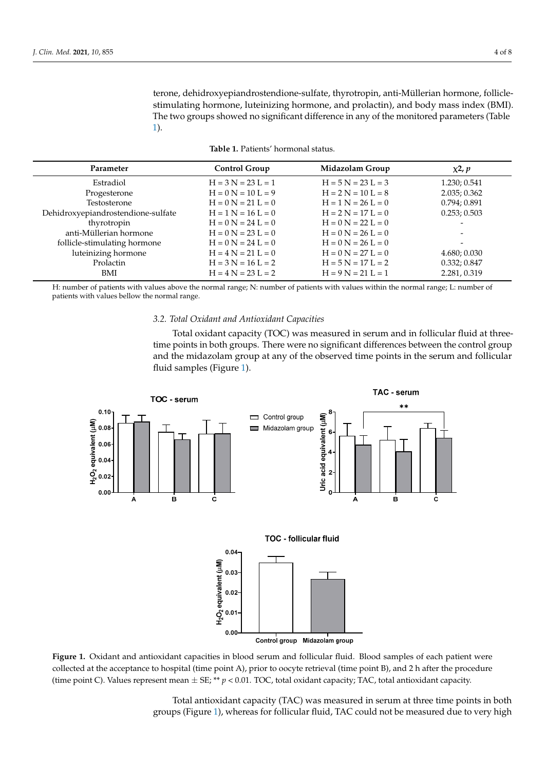terone, dehidroxyepiandrostendione-sulfate, thyrotropin, anti-Müllerian hormone, folliclestimulating hormone, luteinizing hormone, and prolactin), and body mass index (BMI). The two groups showed no significant difference in any of the monitored parameters (Table [1\)](#page-3-0).

|  |  | Table 1. Patients' hormonal status. |  |
|--|--|-------------------------------------|--|
|--|--|-------------------------------------|--|

<span id="page-3-0"></span>

| Parameter                          | <b>Control Group</b> | Midazolam Group      | $x^2$ , $p$              |
|------------------------------------|----------------------|----------------------|--------------------------|
| Estradiol                          | $H = 3 N = 23 L = 1$ | $H = 5 N = 23 L = 3$ | 1.230; 0.541             |
| Progesterone                       | $H = 0 N = 10 L = 9$ | $H = 2 N = 10 L = 8$ | 2.035; 0.362             |
| Testosterone                       | $H = 0 N = 21 L = 0$ | $H = 1 N = 26 L = 0$ | 0.794; 0.891             |
| Dehidroxyepiandrostendione-sulfate | $H = 1 N = 16 L = 0$ | $H = 2 N = 17 L = 0$ | 0.253; 0.503             |
| thyrotropin                        | $H = 0 N = 24 L = 0$ | $H = 0 N = 22 L = 0$ |                          |
| anti-Müllerian hormone             | $H = 0 N = 23 L = 0$ | $H = 0 N = 26 L = 0$ | $\overline{\phantom{0}}$ |
| follicle-stimulating hormone       | $H = 0 N = 24 L = 0$ | $H = 0 N = 26 L = 0$ |                          |
| luteinizing hormone                | $H = 4 N = 21 L = 0$ | $H = 0 N = 27 L = 0$ | 4.680; 0.030             |
| Prolactin                          | $H = 3 N = 16 L = 2$ | $H = 5 N = 17 L = 2$ | 0.332; 0.847             |
| BMI                                | $H = 4 N = 23 L = 2$ | $H = 9 N = 21 L = 1$ | 2.281, 0.319             |

H: number of patients with values above the normal range; N: number of patients with values within the normal range; L: number of patients with values bellow the normal range.

# *3.2. Total Oxidant and Antioxidant Capacities*

Total oxidant capacity (TOC) was measured in serum and in follicular fluid at threetime points in both groups. There were no significant differences between the control group and the midazolam group at any of the observed time points in the serum and follicular fluid samples (Figure [1\)](#page-3-1).

<span id="page-3-1"></span>





collected at the acceptance to hospital (time point A), prior to oocyte retrieval (time point B), and 2 h after the procedure (time point C). Values represent mean  $\pm$  SE; \*\*  $p$  < 0.01. TOC, total oxidant capacity; TAC, total antioxidant capacity. **Figure 1.** Oxidant and antioxidant capacities in blood serum and follicular fluid. Blood samples of each patient were

> *3.3. GSH Lev[els](#page-3-1) and Catalase Activity*  groups (Figure 1), whereas for follicular fluid, TAC could not be measured due to very highTotal antioxidant capacity (TAC) was measured in serum at three time points in both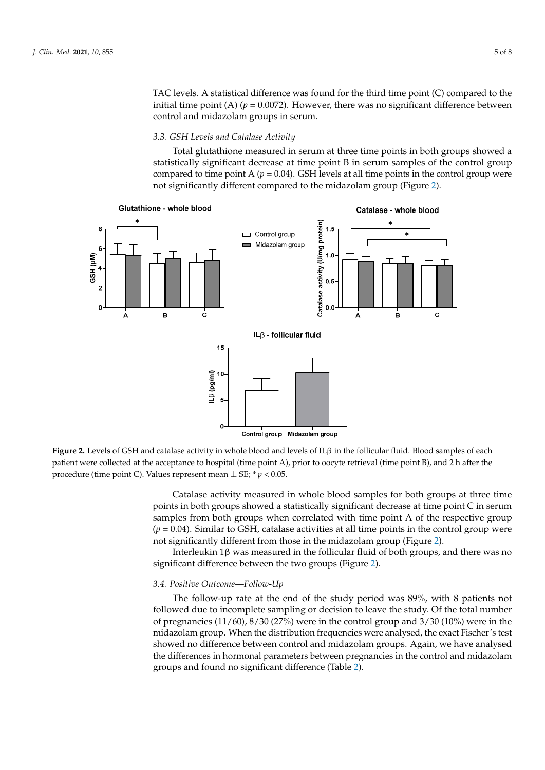TAC levels. A statistical difference was found for the third time point (C) compared to the initial time point (A) ( $p = 0.0072$ ). However, there was no significant difference between control and midazolam groups in serum.

## *3.3. GSH Levels and Catalase Activity*

Total glutathione measured in serum at three time points in both groups showed a statistically significant decrease at time point B in serum samples of the control group compared to time point A  $(p = 0.04)$ . GSH levels at all time points in the control group were not significantly different compared to the midazolam group (Figure [2\)](#page-4-0).

<span id="page-4-0"></span>

patient were collected at the acceptance to hospital (time point A), prior to oocyte retrieval (time point B), and 2 h after the procedure (time point C). Values represent mean  $\pm$  SE;  $*$   $p$  < 0.05. **Figure 2.** Levels of GSH and catalase activity in whole blood and levels of ILβ in the follicular fluid. Blood samples of each

points in both groups showed a statistically significant decrease at time point C in serum samples from both groups when correlated with time point A of the respective group  $(p = 0.04)$ . Similar to GSH, catalase activities at all time points in the control group were not significantly different from those in the midazolam group (Figure 2). Catalase activity measured in whole blood samples for both groups at three time

Interleukin 1β was measured in the follicular fluid of both groups, and there was no  ${\rm significant\,\,difference\,\,between\,\,the\,\,two\,\,groups}$  (Figure [2\)](#page-4-0).

# the differences in hormonal parameters between pregnancies in the control and midazo-*3.4. Positive Outcome—Follow-Up* lam groups and found no significant difference (Table 2).

followed due to incomplete sampling or decision to leave the study. Of the total number midazolam group. When the distribution frequencies were analysed, the exact Fischer's test **N = 8 N = 3 χ2,** *<sup>p</sup>* showed no difference between control and midazolam groups. Again, we have analysed the differences in hormonal parameters between pregnancies in the control and midazolam groups and found no significant difference (Table 2). The follow-up rate at the end of the study period was 89%, with 8 patients not of pregnancies  $(11/60)$ ,  $8/30$   $(27%)$  were in the control group and  $3/30$   $(10%)$  were in the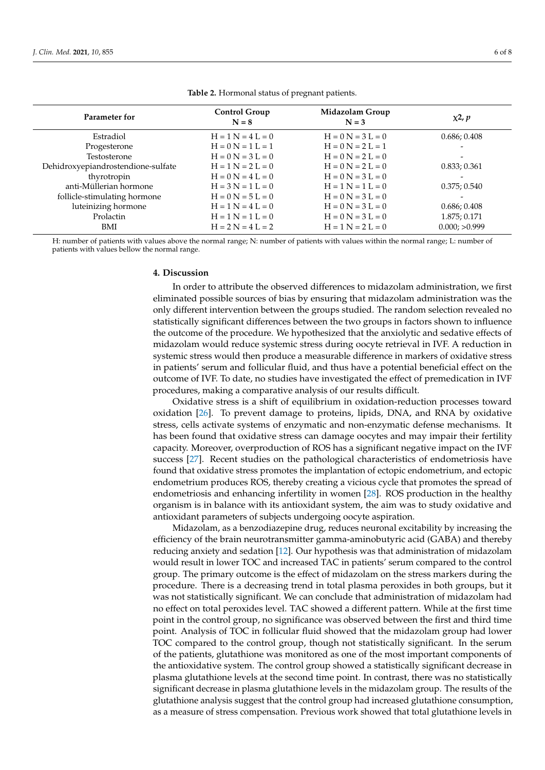<span id="page-5-0"></span>

| Parameter for                      | <b>Control Group</b><br>$N = 8$ | Midazolam Group<br>$N = 3$ | $x^2$ , $p$   |
|------------------------------------|---------------------------------|----------------------------|---------------|
| Estradiol                          | $H = 1 N = 4 L = 0$             | $H = 0 N = 3 L = 0$        | 0.686; 0.408  |
| Progesterone                       | $H = 0 N = 1 L = 1$             | $H = 0 N = 2 L = 1$        |               |
| Testosterone                       | $H = 0 N = 3 L = 0$             | $H = 0 N = 2 L = 0$        |               |
| Dehidroxyepiandrostendione-sulfate | $H = 1 N = 2 L = 0$             | $H = 0 N = 2 L = 0$        | 0.833; 0.361  |
| thyrotropin                        | $H = 0 N = 4 L = 0$             | $H = 0 N = 3 L = 0$        |               |
| anti-Müllerian hormone             | $H = 3 N = 1 L = 0$             | $H = 1 N = 1 L = 0$        | 0.375; 0.540  |
| follicle-stimulating hormone       | $H = 0 N = 5 L = 0$             | $H = 0 N = 3 L = 0$        |               |
| luteinizing hormone                | $H = 1 N = 4 L = 0$             | $H = 0 N = 3 L = 0$        | 0.686; 0.408  |
| Prolactin                          | $H = 1 N = 1 L = 0$             | $H = 0 N = 3 L = 0$        | 1.875; 0.171  |
| BMI                                | $H = 2 N = 4 L = 2$             | $H = 1 N = 2 L = 0$        | 0.000; >0.999 |

**Table 2.** Hormonal status of pregnant patients.

H: number of patients with values above the normal range; N: number of patients with values within the normal range; L: number of patients with values bellow the normal range.

## **4. Discussion**

In order to attribute the observed differences to midazolam administration, we first eliminated possible sources of bias by ensuring that midazolam administration was the only different intervention between the groups studied. The random selection revealed no statistically significant differences between the two groups in factors shown to influence the outcome of the procedure. We hypothesized that the anxiolytic and sedative effects of midazolam would reduce systemic stress during oocyte retrieval in IVF. A reduction in systemic stress would then produce a measurable difference in markers of oxidative stress in patients' serum and follicular fluid, and thus have a potential beneficial effect on the outcome of IVF. To date, no studies have investigated the effect of premedication in IVF procedures, making a comparative analysis of our results difficult.

Oxidative stress is a shift of equilibrium in oxidation-reduction processes toward oxidation [\[26\]](#page-7-17). To prevent damage to proteins, lipids, DNA, and RNA by oxidative stress, cells activate systems of enzymatic and non-enzymatic defense mechanisms. It has been found that oxidative stress can damage oocytes and may impair their fertility capacity. Moreover, overproduction of ROS has a significant negative impact on the IVF success [\[27\]](#page-7-18). Recent studies on the pathological characteristics of endometriosis have found that oxidative stress promotes the implantation of ectopic endometrium, and ectopic endometrium produces ROS, thereby creating a vicious cycle that promotes the spread of endometriosis and enhancing infertility in women [\[28\]](#page-7-19). ROS production in the healthy organism is in balance with its antioxidant system, the aim was to study oxidative and antioxidant parameters of subjects undergoing oocyte aspiration.

Midazolam, as a benzodiazepine drug, reduces neuronal excitability by increasing the efficiency of the brain neurotransmitter gamma-aminobutyric acid (GABA) and thereby reducing anxiety and sedation [\[12\]](#page-7-3). Our hypothesis was that administration of midazolam would result in lower TOC and increased TAC in patients' serum compared to the control group. The primary outcome is the effect of midazolam on the stress markers during the procedure. There is a decreasing trend in total plasma peroxides in both groups, but it was not statistically significant. We can conclude that administration of midazolam had no effect on total peroxides level. TAC showed a different pattern. While at the first time point in the control group, no significance was observed between the first and third time point. Analysis of TOC in follicular fluid showed that the midazolam group had lower TOC compared to the control group, though not statistically significant. In the serum of the patients, glutathione was monitored as one of the most important components of the antioxidative system. The control group showed a statistically significant decrease in plasma glutathione levels at the second time point. In contrast, there was no statistically significant decrease in plasma glutathione levels in the midazolam group. The results of the glutathione analysis suggest that the control group had increased glutathione consumption, as a measure of stress compensation. Previous work showed that total glutathione levels in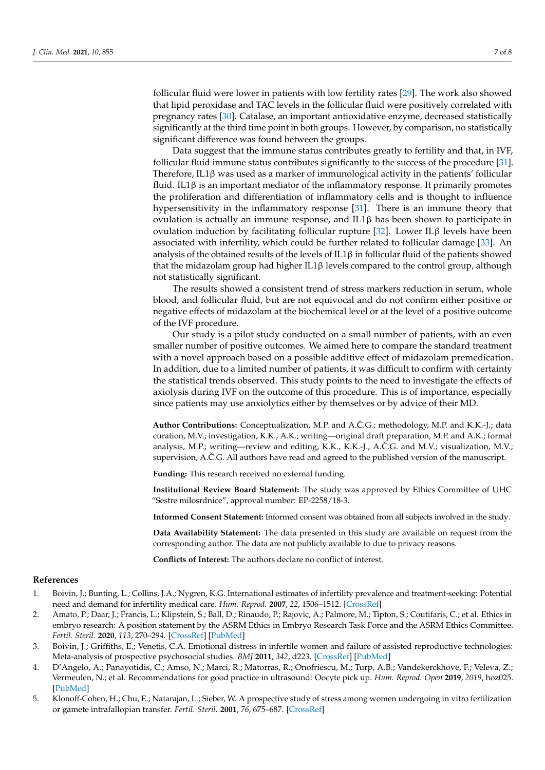follicular fluid were lower in patients with low fertility rates [\[29\]](#page-7-20). The work also showed that lipid peroxidase and TAC levels in the follicular fluid were positively correlated with pregnancy rates [\[30\]](#page-7-21). Catalase, an important antioxidative enzyme, decreased statistically significantly at the third time point in both groups. However, by comparison, no statistically significant difference was found between the groups.

Data suggest that the immune status contributes greatly to fertility and that, in IVF, follicular fluid immune status contributes significantly to the success of the procedure [\[31\]](#page-7-22). Therefore, IL1β was used as a marker of immunological activity in the patients' follicular fluid. IL1 $\beta$  is an important mediator of the inflammatory response. It primarily promotes the proliferation and differentiation of inflammatory cells and is thought to influence hypersensitivity in the inflammatory response [\[31\]](#page-7-22). There is an immune theory that ovulation is actually an immune response, and IL1β has been shown to participate in ovulation induction by facilitating follicular rupture [\[32\]](#page-7-23). Lower ILβ levels have been associated with infertility, which could be further related to follicular damage [\[33\]](#page-7-24). An analysis of the obtained results of the levels of IL1β in follicular fluid of the patients showed that the midazolam group had higher IL1β levels compared to the control group, although not statistically significant.

The results showed a consistent trend of stress markers reduction in serum, whole blood, and follicular fluid, but are not equivocal and do not confirm either positive or negative effects of midazolam at the biochemical level or at the level of a positive outcome of the IVF procedure.

Our study is a pilot study conducted on a small number of patients, with an even smaller number of positive outcomes. We aimed here to compare the standard treatment with a novel approach based on a possible additive effect of midazolam premedication. In addition, due to a limited number of patients, it was difficult to confirm with certainty the statistical trends observed. This study points to the need to investigate the effects of axiolysis during IVF on the outcome of this procedure. This is of importance, especially since patients may use anxiolytics either by themselves or by advice of their MD.

**Author Contributions:** Conceptualization, M.P. and A.C.G.; methodology, M.P. and K.K.-J.; data ˇ curation, M.V.; investigation, K.K., A.K.; writing—original draft preparation, M.P. and A.K.; formal analysis, M.P.; writing—review and editing, K.K., K.K.-J., A.C.G. and M.V.; visualization, M.V.; supervision, A.C.G. All authors have read and agreed to the published version of the manuscript.

**Funding:** This research received no external funding.

**Institutional Review Board Statement:** The study was approved by Ethics Committee of UHC "Sestre milosrdnice", approval number: EP-2258/18-3.

**Informed Consent Statement:** Informed consent was obtained from all subjects involved in the study.

**Data Availability Statement:** The data presented in this study are available on request from the corresponding author. The data are not publicly available to due to privacy reasons.

**Conflicts of Interest:** The authors declare no conflict of interest.

#### **References**

- <span id="page-6-0"></span>1. Boivin, J.; Bunting, L.; Collins, J.A.; Nygren, K.G. International estimates of infertility prevalence and treatment-seeking: Potential need and demand for infertility medical care. *Hum. Reprod.* **2007**, *22*, 1506–1512. [\[CrossRef\]](http://doi.org/10.1093/humrep/dem046)
- <span id="page-6-1"></span>2. Amato, P.; Daar, J.; Francis, L.; Klipstein, S.; Ball, D.; Rinaudo, P.; Rajovic, A.; Palmore, M.; Tipton, S.; Coutifaris, C.; et al. Ethics in embryo research: A position statement by the ASRM Ethics in Embryo Research Task Force and the ASRM Ethics Committee. *Fertil. Steril.* **2020**, *113*, 270–294. [\[CrossRef\]](http://doi.org/10.1016/j.fertnstert.2019.10.012) [\[PubMed\]](http://www.ncbi.nlm.nih.gov/pubmed/32106974)
- <span id="page-6-2"></span>3. Boivin, J.; Griffiths, E.; Venetis, C.A. Emotional distress in infertile women and failure of assisted reproductive technologies: Meta-analysis of prospective psychosocial studies. *BMJ* **2011**, *342*, d223. [\[CrossRef\]](http://doi.org/10.1136/bmj.d223) [\[PubMed\]](http://www.ncbi.nlm.nih.gov/pubmed/21345903)
- <span id="page-6-3"></span>4. D'Angelo, A.; Panayotidis, C.; Amso, N.; Marci, R.; Matorras, R.; Onofriescu, M.; Turp, A.B.; Vandekerckhove, F.; Veleva, Z.; Vermeulen, N.; et al. Recommendations for good practice in ultrasound: Oocyte pick up. *Hum. Reprod. Open* **2019**, *2019*, hoz025. [\[PubMed\]](http://www.ncbi.nlm.nih.gov/pubmed/31844683)
- <span id="page-6-4"></span>5. Klonoff-Cohen, H.; Chu, E.; Natarajan, L.; Sieber, W. A prospective study of stress among women undergoing in vitro fertilization or gamete intrafallopian transfer. *Fertil. Steril.* **2001**, *76*, 675–687. [\[CrossRef\]](http://doi.org/10.1016/S0015-0282(01)02008-8)